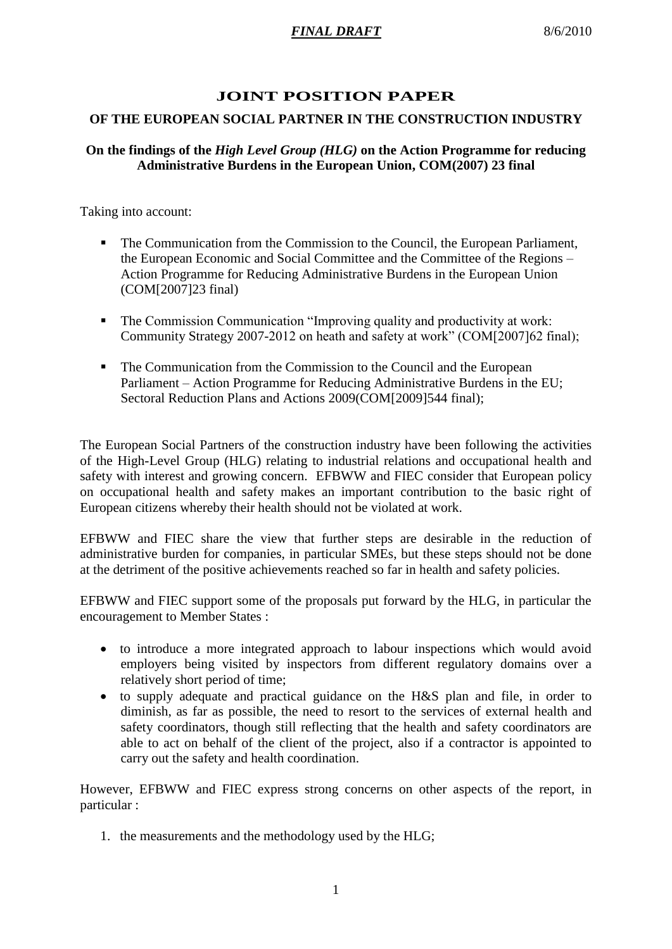# **JOINT POSITION PAPER**

# **OF THE EUROPEAN SOCIAL PARTNER IN THE CONSTRUCTION INDUSTRY**

## **On the findings of the** *High Level Group (HLG)* **on the Action Programme for reducing Administrative Burdens in the European Union, COM(2007) 23 final**

Taking into account:

- The Communication from the Commission to the Council, the European Parliament, the European Economic and Social Committee and the Committee of the Regions – Action Programme for Reducing Administrative Burdens in the European Union (COM[2007]23 final)
- The Commission Communication "Improving quality and productivity at work: Community Strategy 2007-2012 on heath and safety at work" (COM[2007]62 final);
- The Communication from the Commission to the Council and the European Parliament – Action Programme for Reducing Administrative Burdens in the EU; Sectoral Reduction Plans and Actions 2009(COM[2009]544 final);

The European Social Partners of the construction industry have been following the activities of the High-Level Group (HLG) relating to industrial relations and occupational health and safety with interest and growing concern. EFBWW and FIEC consider that European policy on occupational health and safety makes an important contribution to the basic right of European citizens whereby their health should not be violated at work.

EFBWW and FIEC share the view that further steps are desirable in the reduction of administrative burden for companies, in particular SMEs, but these steps should not be done at the detriment of the positive achievements reached so far in health and safety policies.

EFBWW and FIEC support some of the proposals put forward by the HLG, in particular the encouragement to Member States :

- to introduce a more integrated approach to labour inspections which would avoid employers being visited by inspectors from different regulatory domains over a relatively short period of time;
- to supply adequate and practical guidance on the H&S plan and file, in order to diminish, as far as possible, the need to resort to the services of external health and safety coordinators, though still reflecting that the health and safety coordinators are able to act on behalf of the client of the project, also if a contractor is appointed to carry out the safety and health coordination.

However, EFBWW and FIEC express strong concerns on other aspects of the report, in particular :

1. the measurements and the methodology used by the HLG;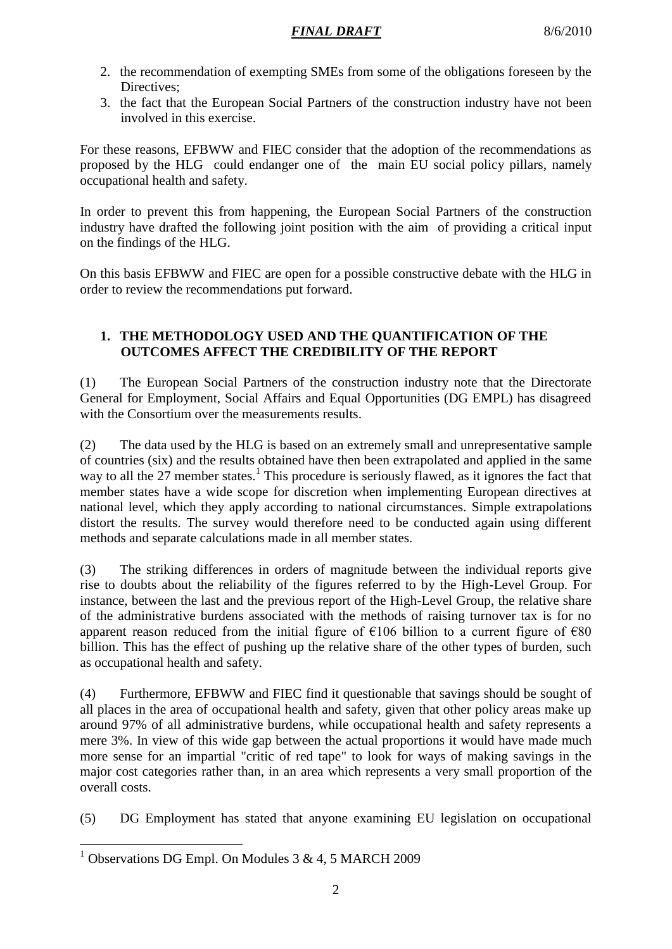- 2. the recommendation of exempting SMEs from some of the obligations foreseen by the Directives:
- 3. the fact that the European Social Partners of the construction industry have not been involved in this exercise.

For these reasons, EFBWW and FIEC consider that the adoption of the recommendations as proposed by the HLG could endanger one of the main EU social policy pillars, namely occupational health and safety.

In order to prevent this from happening, the European Social Partners of the construction industry have drafted the following joint position with the aim of providing a critical input on the findings of the HLG.

On this basis EFBWW and FIEC are open for a possible constructive debate with the HLG in order to review the recommendations put forward.

# **1. THE METHODOLOGY USED AND THE QUANTIFICATION OF THE OUTCOMES AFFECT THE CREDIBILITY OF THE REPORT**

(1) The European Social Partners of the construction industry note that the Directorate General for Employment, Social Affairs and Equal Opportunities (DG EMPL) has disagreed with the Consortium over the measurements results.

(2) The data used by the HLG is based on an extremely small and unrepresentative sample of countries (six) and the results obtained have then been extrapolated and applied in the same way to all the 27 member states.<sup>1</sup> This procedure is seriously flawed, as it ignores the fact that member states have a wide scope for discretion when implementing European directives at national level, which they apply according to national circumstances. Simple extrapolations distort the results. The survey would therefore need to be conducted again using different methods and separate calculations made in all member states.

(3) The striking differences in orders of magnitude between the individual reports give rise to doubts about the reliability of the figures referred to by the High-Level Group. For instance, between the last and the previous report of the High-Level Group, the relative share of the administrative burdens associated with the methods of raising turnover tax is for no apparent reason reduced from the initial figure of  $\epsilon$ 106 billion to a current figure of  $\epsilon$ 80 billion. This has the effect of pushing up the relative share of the other types of burden, such as occupational health and safety.

(4) Furthermore, EFBWW and FIEC find it questionable that savings should be sought of all places in the area of occupational health and safety, given that other policy areas make up around 97% of all administrative burdens, while occupational health and safety represents a mere 3%. In view of this wide gap between the actual proportions it would have made much more sense for an impartial "critic of red tape" to look for ways of making savings in the major cost categories rather than, in an area which represents a very small proportion of the overall costs.

(5) DG Employment has stated that anyone examining EU legislation on occupational

 $\overline{a}$ <sup>1</sup> Observations DG Empl. On Modules  $3 & 4, 5$  MARCH 2009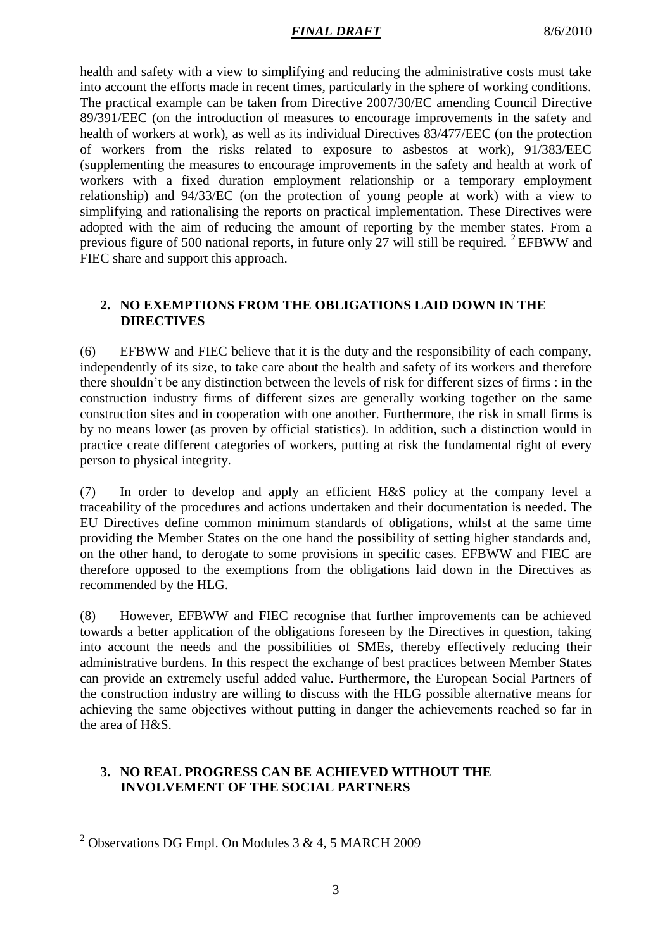## *FINAL DRAFT* 8/6/2010

health and safety with a view to simplifying and reducing the administrative costs must take into account the efforts made in recent times, particularly in the sphere of working conditions. The practical example can be taken from Directive 2007/30/EC amending Council Directive 89/391/EEC (on the introduction of measures to encourage improvements in the safety and health of workers at work), as well as its individual Directives 83/477/EEC (on the protection of workers from the risks related to exposure to asbestos at work), 91/383/EEC (supplementing the measures to encourage improvements in the safety and health at work of workers with a fixed duration employment relationship or a temporary employment relationship) and 94/33/EC (on the protection of young people at work) with a view to simplifying and rationalising the reports on practical implementation. These Directives were adopted with the aim of reducing the amount of reporting by the member states. From a previous figure of 500 national reports, in future only 27 will still be required.  $2$  EFBWW and FIEC share and support this approach.

## **2. NO EXEMPTIONS FROM THE OBLIGATIONS LAID DOWN IN THE DIRECTIVES**

(6) EFBWW and FIEC believe that it is the duty and the responsibility of each company, independently of its size, to take care about the health and safety of its workers and therefore there shouldn't be any distinction between the levels of risk for different sizes of firms : in the construction industry firms of different sizes are generally working together on the same construction sites and in cooperation with one another. Furthermore, the risk in small firms is by no means lower (as proven by official statistics). In addition, such a distinction would in practice create different categories of workers, putting at risk the fundamental right of every person to physical integrity.

(7) In order to develop and apply an efficient H&S policy at the company level a traceability of the procedures and actions undertaken and their documentation is needed. The EU Directives define common minimum standards of obligations, whilst at the same time providing the Member States on the one hand the possibility of setting higher standards and, on the other hand, to derogate to some provisions in specific cases. EFBWW and FIEC are therefore opposed to the exemptions from the obligations laid down in the Directives as recommended by the HLG.

(8) However, EFBWW and FIEC recognise that further improvements can be achieved towards a better application of the obligations foreseen by the Directives in question, taking into account the needs and the possibilities of SMEs, thereby effectively reducing their administrative burdens. In this respect the exchange of best practices between Member States can provide an extremely useful added value. Furthermore, the European Social Partners of the construction industry are willing to discuss with the HLG possible alternative means for achieving the same objectives without putting in danger the achievements reached so far in the area of H&S.

#### **3. NO REAL PROGRESS CAN BE ACHIEVED WITHOUT THE INVOLVEMENT OF THE SOCIAL PARTNERS**

 $\overline{a}$ 

<sup>&</sup>lt;sup>2</sup> Observations DG Empl. On Modules 3 & 4, 5 MARCH 2009